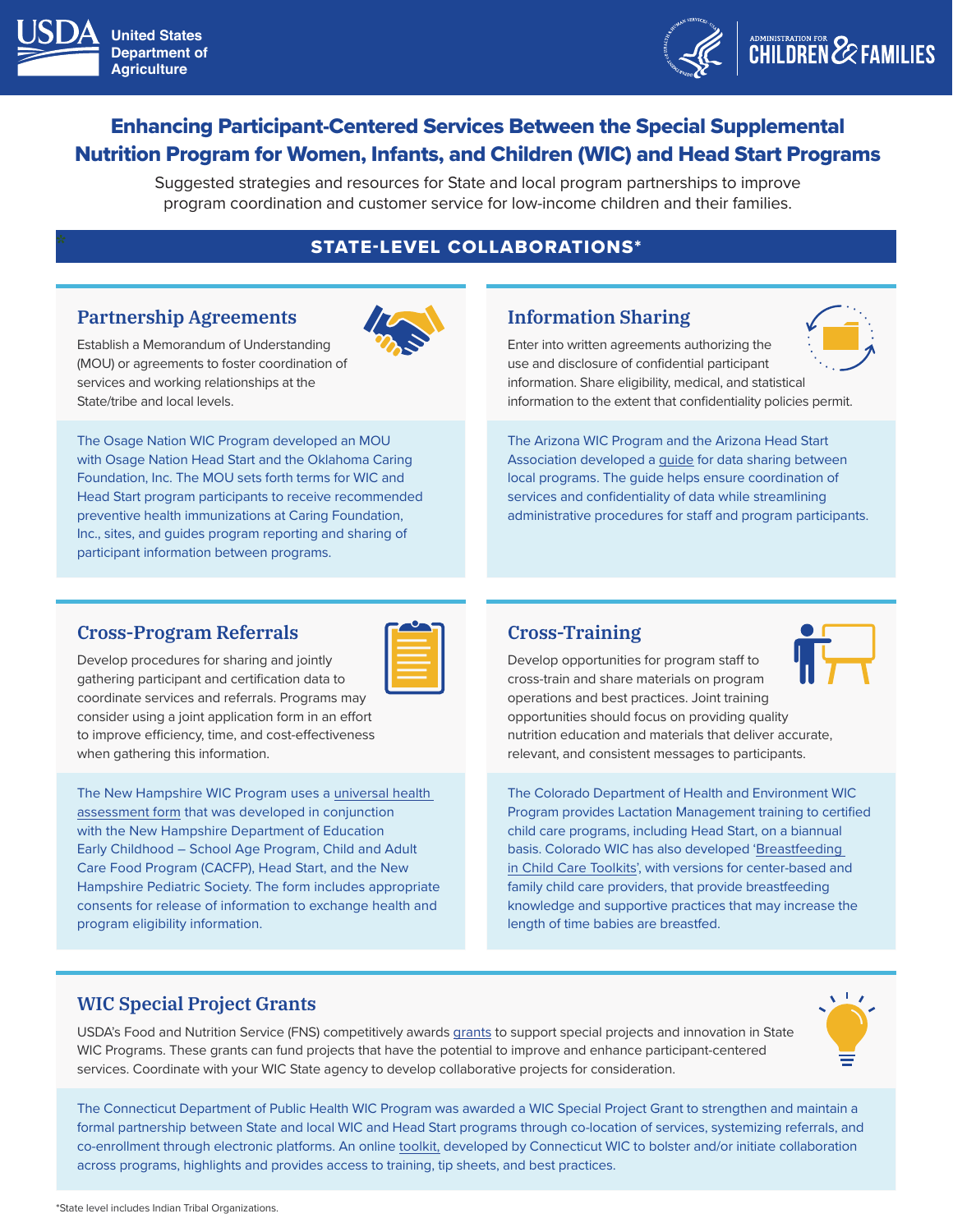



# Enhancing Participant-Centered Services Between the Special Supplemental Nutrition Program for Women, Infants, and Children (WIC) and Head Start Programs

Suggested strategies and resources for State and local program partnerships to improve program coordination and customer service for low-income children and their families.

### **\*** STATE-LEVEL COLLABORATIONS\*

#### **Partnership Agreements**

Establish a Memorandum of Understanding (MOU) or agreements to foster coordination of services and working relationships at the State/tribe and local levels.

The Osage Nation WIC Program developed an MOU with Osage Nation Head Start and the Oklahoma Caring Foundation, Inc. The MOU sets forth terms for WIC and Head Start program participants to receive recommended preventive health immunizations at Caring Foundation, Inc., sites, and guides program reporting and sharing of participant information between programs.

### **Information Sharing**

Enter into written agreements authorizing the use and disclosure of confidential participant information. Share eligibility, medical, and statistical information to the extent that confidentiality policies permit.

The Arizona WIC Program and the Arizona Head Start Association developed a [guide](https://www.azdhs.gov/documents/prevention/azwic/agencies/head-start-wic-data-sharing-guide.pdf) for data sharing between local programs. The guide helps ensure coordination of services and confidentiality of data while streamlining administrative procedures for staff and program participants.

#### **Cross-Program Referrals**

| _______                                                                         |  |  |
|---------------------------------------------------------------------------------|--|--|
| the contract of the contract of the contract of the contract of the contract of |  |  |
|                                                                                 |  |  |
|                                                                                 |  |  |
|                                                                                 |  |  |

Develop procedures for sharing and jointly gathering participant and certification data to coordinate services and referrals. Programs may consider using a joint application form in an effort to improve efficiency, time, and cost-effectiveness when gathering this information.

The New Hampshire WIC Program uses a [universal health](https://www.dhhs.nh.gov/oos/cclu/documents/healthassessmentform.pdf)  [assessment form](https://www.dhhs.nh.gov/oos/cclu/documents/healthassessmentform.pdf) that was developed in conjunction with the New Hampshire Department of Education Early Childhood – School Age Program, Child and Adult Care Food Program (CACFP), Head Start, and the New Hampshire Pediatric Society. The form includes appropriate consents for release of information to exchange health and program eligibility information.

#### **Cross-Training**

Develop opportunities for program staff to cross-train and share materials on program operations and best practices. Joint training opportunities should focus on providing quality nutrition education and materials that deliver accurate, relevant, and consistent messages to participants.

The Colorado Department of Health and Environment WIC Program provides Lactation Management training to certified child care programs, including Head Start, on a biannual basis. Colorado WIC has also developed ['Breastfeeding](https://www.colorado.gov/pacific/cdphe/breastfeeding-friendly-child-care-professionals)  [in Child Care Toolkits](https://www.colorado.gov/pacific/cdphe/breastfeeding-friendly-child-care-professionals)', with versions for center-based and family child care providers, that provide breastfeeding knowledge and supportive practices that may increase the length of time babies are breastfed.

#### **WIC Special Project Grants**

USDA's Food and Nutrition Service (FNS) competitively awards [grants](https://www.fns.usda.gov/wic/wic-special-project-grants) to support special projects and innovation in State WIC Programs. These grants can fund projects that have the potential to improve and enhance participant-centered services. Coordinate with your WIC State agency to develop collaborative projects for consideration.



The Connecticut Department of Public Health WIC Program was awarded a WIC Special Project Grant to strengthen and maintain a formal partnership between State and local WIC and Head Start programs through co-location of services, systemizing referrals, and co-enrollment through electronic platforms. An online [toolkit,](https://www.wicheadstartbettertogether.org/) developed by Connecticut WIC to bolster and/or initiate collaboration across programs, highlights and provides access to training, tip sheets, and best practices.